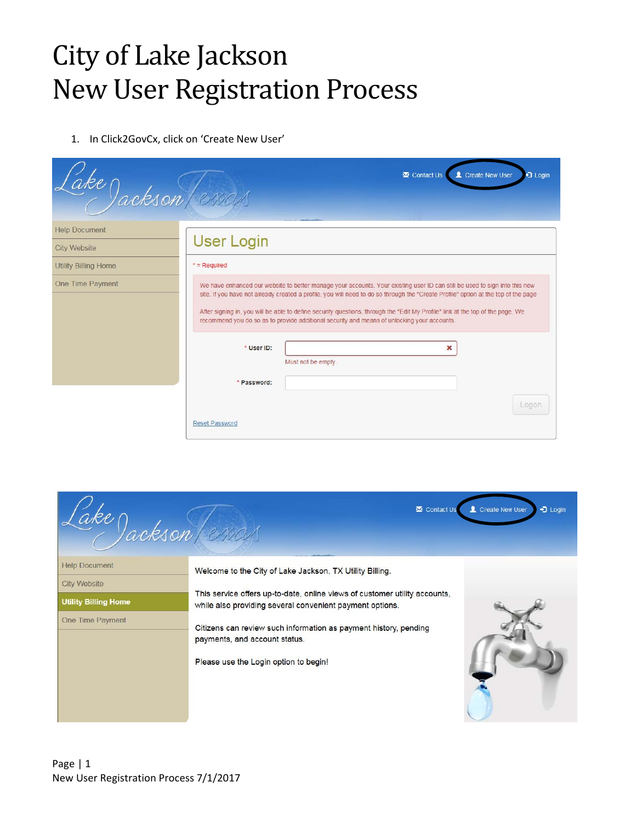## City of Lake Jackson New User Registration Process

1. In Click2GovCx, click on 'Create New User'

| ake Jackson (ersay)         |                       | Contact Us<br>Create New User<br>□ Login                                                                                                                                                                                                                                                                                                                                                                                                                                                                                     |
|-----------------------------|-----------------------|------------------------------------------------------------------------------------------------------------------------------------------------------------------------------------------------------------------------------------------------------------------------------------------------------------------------------------------------------------------------------------------------------------------------------------------------------------------------------------------------------------------------------|
| <b>Help Document</b>        |                       |                                                                                                                                                                                                                                                                                                                                                                                                                                                                                                                              |
| <b>City Website</b>         | <b>User Login</b>     |                                                                                                                                                                                                                                                                                                                                                                                                                                                                                                                              |
| <b>Utility Billing Home</b> | $*$ = Required        |                                                                                                                                                                                                                                                                                                                                                                                                                                                                                                                              |
| <b>One Time Payment</b>     | * User ID:            | We have enhanced our website to better manage your accounts. Your existing user ID can still be used to sign into this new<br>site. If you have not already created a profile, you will need to do so through the "Create Profile" option at the top of the page<br>After signing in, you will be able to define security questions, through the "Edit My Profile" link at the top of the page. We<br>recommend you do so as to provide additional security and means of unlocking your accounts.<br>×<br>Must not be empty. |
|                             | * Password:           | Logon                                                                                                                                                                                                                                                                                                                                                                                                                                                                                                                        |
|                             | <b>Reset Password</b> |                                                                                                                                                                                                                                                                                                                                                                                                                                                                                                                              |

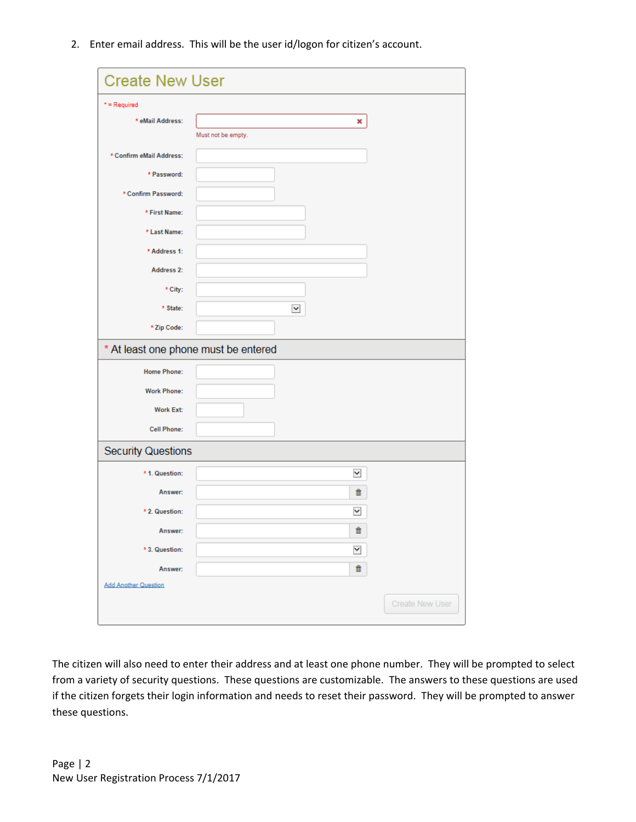2. Enter email address. This will be the user id/logon for citizen's account.

| <b>Create New User</b>      |                                      |
|-----------------------------|--------------------------------------|
| $*$ = Required              |                                      |
| * eMail Address:            | ×                                    |
|                             | Must not be empty.                   |
| * Confirm eMail Address:    |                                      |
| * Password:                 |                                      |
| * Confirm Password:         |                                      |
| * First Name:               |                                      |
| * Last Name:                |                                      |
| * Address 1:                |                                      |
| Address 2:                  |                                      |
| * City:                     |                                      |
| * State:                    | $\checkmark$                         |
| * Zip Code:                 |                                      |
|                             | * At least one phone must be entered |
| <b>Home Phone:</b>          |                                      |
| <b>Work Phone:</b>          |                                      |
| <b>Work Ext:</b>            |                                      |
| <b>Cell Phone:</b>          |                                      |
| <b>Security Questions</b>   |                                      |
| * 1. Question:              | ×                                    |
| Answer:                     | û                                    |
| * 2. Question:              | ×                                    |
| Answer:                     | ш                                    |
| * 3. Question:              | Y                                    |
| Answer:                     | û                                    |
| <b>Add Another Question</b> |                                      |
|                             | <b>Create New User</b>               |

The citizen will also need to enter their address and at least one phone number. They will be prompted to select from a variety of security questions. These questions are customizable. The answers to these questions are used if the citizen forgets their login information and needs to reset their password. They will be prompted to answer these questions.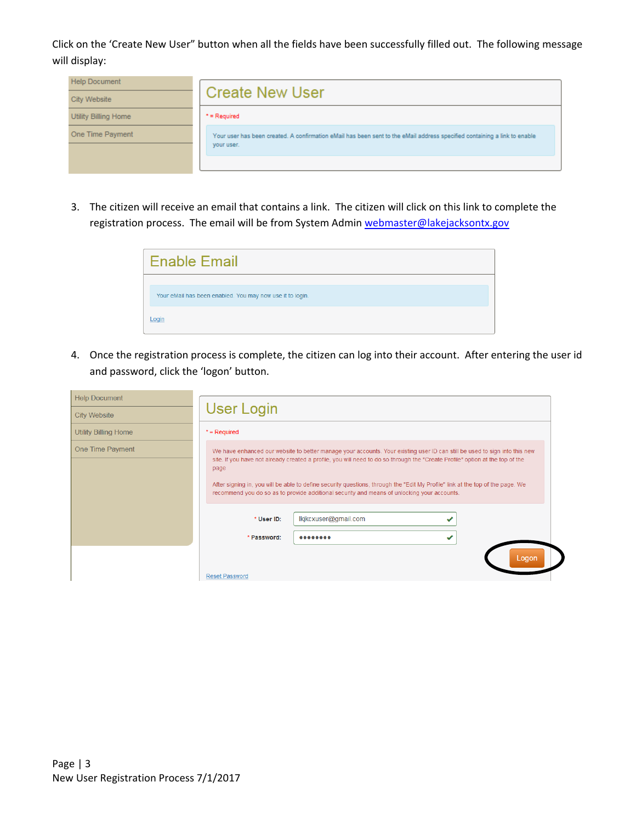Click on the 'Create New User" button when all the fields have been successfully filled out. The following message will display:

| <b>Help Document</b>        | <b>Create New User</b>                                                                                                                  |
|-----------------------------|-----------------------------------------------------------------------------------------------------------------------------------------|
| City Website                |                                                                                                                                         |
| <b>Utility Billing Home</b> | $*$ = Required                                                                                                                          |
| One Time Payment            | Your user has been created. A confirmation eMail has been sent to the eMail address specified containing a link to enable<br>your user. |
|                             |                                                                                                                                         |

3. The citizen will receive an email that contains a link. The citizen will click on this link to complete the registration process. The email will be from System Admin webmaster@lakejacksontx.gov

| <b>Enable Email</b>                                       |
|-----------------------------------------------------------|
| Your eMail has been enabled. You may now use it to login. |
| Login                                                     |

4. Once the registration process is complete, the citizen can log into their account. After entering the user id and password, click the 'logon' button.

| <b>Help Document</b>        |                                                                                                                                                                                                                                                                                                                                                                                                                                                                                                                                                           |
|-----------------------------|-----------------------------------------------------------------------------------------------------------------------------------------------------------------------------------------------------------------------------------------------------------------------------------------------------------------------------------------------------------------------------------------------------------------------------------------------------------------------------------------------------------------------------------------------------------|
| <b>City Website</b>         | <b>User Login</b>                                                                                                                                                                                                                                                                                                                                                                                                                                                                                                                                         |
| <b>Utility Billing Home</b> | $*$ = Required                                                                                                                                                                                                                                                                                                                                                                                                                                                                                                                                            |
| <b>One Time Payment</b>     | We have enhanced our website to better manage your accounts. Your existing user ID can still be used to sign into this new<br>site. If you have not already created a profile, you will need to do so through the "Create Profile" option at the top of the<br>page<br>After signing in, you will be able to define security questions, through the "Edit My Profile" link at the top of the page. We<br>recommend you do so as to provide additional security and means of unlocking your accounts.<br>lkjkcxuser@gmail.com<br>* User ID:<br>* Password: |
|                             | Logon<br><b>Reset Password</b>                                                                                                                                                                                                                                                                                                                                                                                                                                                                                                                            |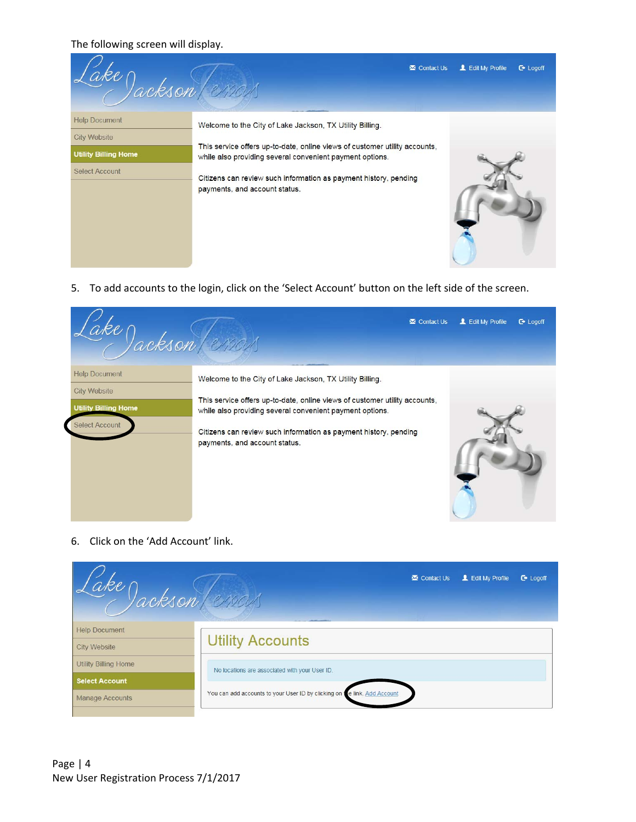The following screen will display.

| Jackson (enou                                                                                |                                                                                                                                                                                                                                                                                                         | Contact Us | L Edit My Profile | $C^*$ Logoff |
|----------------------------------------------------------------------------------------------|---------------------------------------------------------------------------------------------------------------------------------------------------------------------------------------------------------------------------------------------------------------------------------------------------------|------------|-------------------|--------------|
| <b>Help Document</b><br><b>City Website</b><br><b>Utility Billing Home</b><br>Select Account | Welcome to the City of Lake Jackson, TX Utility Billing.<br>This service offers up-to-date, online views of customer utility accounts,<br>while also providing several convenient payment options.<br>Citizens can review such information as payment history, pending<br>payments, and account status. |            |                   |              |

5. To add accounts to the login, click on the 'Select Account' button on the left side of the screen.

| Jackson (enou                                                                                       |                                                                                                                                                                                                                                                                                                         | Contact Us | L Edit My Profile | $\mathbb{C}$ Logoff |
|-----------------------------------------------------------------------------------------------------|---------------------------------------------------------------------------------------------------------------------------------------------------------------------------------------------------------------------------------------------------------------------------------------------------------|------------|-------------------|---------------------|
| <b>Help Document</b><br><b>City Website</b><br><b>Utility Billing Home</b><br><b>Select Account</b> | Welcome to the City of Lake Jackson, TX Utility Billing.<br>This service offers up-to-date, online views of customer utility accounts,<br>while also providing several convenient payment options.<br>Citizens can review such information as payment history, pending<br>payments, and account status. |            |                   |                     |

6. Click on the 'Add Account' link.

| ake) ackson (erras)         | L Edit My Profile<br>Contact Us<br>$\mathbb{C}$ Logoff                     |
|-----------------------------|----------------------------------------------------------------------------|
| <b>Help Document</b>        |                                                                            |
| <b>City Website</b>         | <b>Utility Accounts</b>                                                    |
| <b>Utility Billing Home</b> | No locations are associated with your User ID.                             |
| <b>Select Account</b>       |                                                                            |
| <b>Manage Accounts</b>      | e link. Add Account<br>You can add accounts to your User ID by clicking on |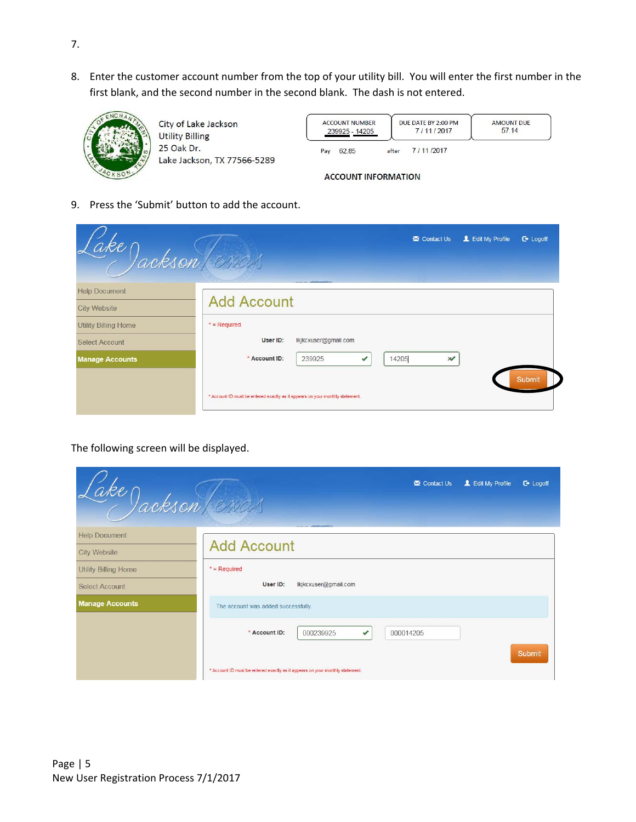8. Enter the customer account number from the top of your utility bill. You will enter the first number in the first blank, and the second number in the second blank. The dash is not entered.



City of Lake Jackson **Utility Billing** 25 Oak Dr. Lake Jackson, TX 77566-5289

|     | <b>ACCOUNT NUMBER</b><br>239925 - 14205 |       | DUE DATE BY 2:00 PM<br>7/11/2017 | <b>AMOUNT DUE</b><br>57.14 |
|-----|-----------------------------------------|-------|----------------------------------|----------------------------|
| Pay | 62.85                                   | after | 7/11/2017                        |                            |

**ACCOUNT INFORMATION** 

9. Press the 'Submit' button to add the account.

|                                             | L Edit My Profile<br>Contact Us<br>$\mathbb{C}$ Logoff<br>ake Jackson (21904)                                                              |
|---------------------------------------------|--------------------------------------------------------------------------------------------------------------------------------------------|
| <b>Help Document</b><br><b>City Website</b> | <b>Add Account</b>                                                                                                                         |
| <b>Utility Billing Home</b>                 | $*$ = Required                                                                                                                             |
| <b>Select Account</b>                       | User ID:<br>lkjkcxuser@gmail.com                                                                                                           |
| <b>Manage Accounts</b>                      | * Account ID:<br>14205<br>239925<br>$\chi$<br>✔<br>Submit<br>* Account ID must be entered exactly as it appears on your monthly statement. |

The following screen will be displayed.

| ake Jackson (2100)          | L Edit My Profile<br>Contact Us<br>$C^*$ Logoff                               |
|-----------------------------|-------------------------------------------------------------------------------|
| <b>Help Document</b>        |                                                                               |
| <b>City Website</b>         | <b>Add Account</b>                                                            |
| <b>Utility Billing Home</b> | $*$ = Required                                                                |
| <b>Select Account</b>       | lkjkcxuser@gmail.com<br>User ID:                                              |
| <b>Manage Accounts</b>      | The account was added successfully.                                           |
|                             | * Account ID:<br>000239925<br>000014205<br>$\checkmark$<br>Submit             |
|                             | * Account ID must be entered exactly as it appears on your monthly statement. |